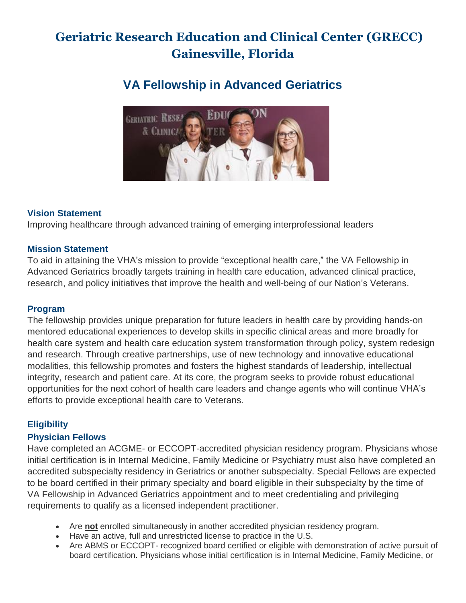# **Geriatric Research Education and Clinical Center (GRECC) Gainesville, Florida**

# **VA Fellowship in Advanced Geriatrics**



# **Vision Statement**

Improving healthcare through advanced training of emerging interprofessional leaders

#### **Mission Statement**

To aid in attaining the VHA's mission to provide "exceptional health care," the VA Fellowship in Advanced Geriatrics broadly targets training in health care education, advanced clinical practice, research, and policy initiatives that improve the health and well-being of our Nation's Veterans.

#### **Program**

The fellowship provides unique preparation for future leaders in health care by providing hands-on mentored educational experiences to develop skills in specific clinical areas and more broadly for health care system and health care education system transformation through policy, system redesign and research. Through creative partnerships, use of new technology and innovative educational modalities, this fellowship promotes and fosters the highest standards of leadership, intellectual integrity, research and patient care. At its core, the program seeks to provide robust educational opportunities for the next cohort of health care leaders and change agents who will continue VHA's efforts to provide exceptional health care to Veterans.

# **Eligibility**

#### **Physician Fellows**

Have completed an ACGME- or ECCOPT-accredited physician residency program. Physicians whose initial certification is in Internal Medicine, Family Medicine or Psychiatry must also have completed an accredited subspecialty residency in Geriatrics or another subspecialty. Special Fellows are expected to be board certified in their primary specialty and board eligible in their subspecialty by the time of VA Fellowship in Advanced Geriatrics appointment and to meet credentialing and privileging requirements to qualify as a licensed independent practitioner.

- Are **not** enrolled simultaneously in another accredited physician residency program.
- Have an active, full and unrestricted license to practice in the U.S.
- Are ABMS or ECCOPT- recognized board certified or eligible with demonstration of active pursuit of board certification. Physicians whose initial certification is in Internal Medicine, Family Medicine, or